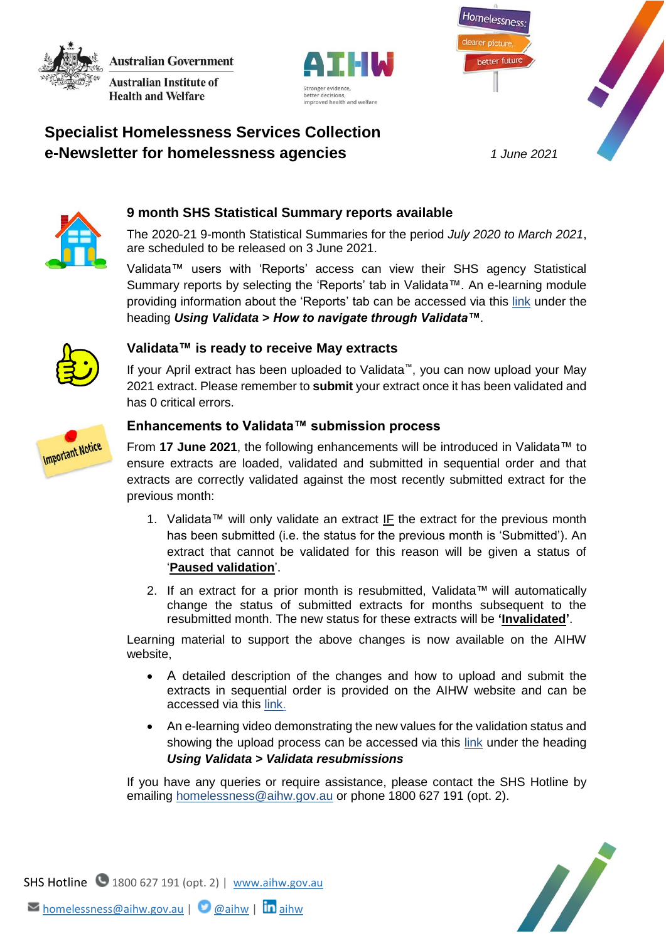**Australian Government Australian Institute of** 

**Health and Welfare** 





# **Specialist Homelessness Services Collection e-Newsletter for homelessness agencies** *1 June 2021*



## **9 month SHS Statistical Summary reports available**

The 2020-21 9-month Statistical Summaries for the period *July 2020 to March 2021*, are scheduled to be released on 3 June 2021.

Validata™ users with 'Reports' access can view their SHS agency Statistical Summary reports by selecting the 'Reports' tab in Validata™. An e-learning module providing information about the 'Reports' tab can be accessed via this [link](https://www.aihw.gov.au/about-our-data/our-data-collections/specialist-homelessness-services-collection/shs-elearning) under the heading *Using Validata > How to navigate through Validata™*.



#### **Validata™ is ready to receive May extracts**

If your April extract has been uploaded to Validata™, you can now upload your May 2021 extract. Please remember to **submit** your extract once it has been validated and has 0 critical errors.

#### **Enhancements to Validata™ submission process**

**Important Notice** 

From **17 June 2021**, the following enhancements will be introduced in Validata™ to ensure extracts are loaded, validated and submitted in sequential order and that extracts are correctly validated against the most recently submitted extract for the previous month:

- 1. Validata™ will only validate an extract IF the extract for the previous month has been submitted (i.e. the status for the previous month is 'Submitted'). An extract that cannot be validated for this reason will be given a status of '**Paused validation**'.
- 2. If an extract for a prior month is resubmitted, Validata™ will automatically change the status of submitted extracts for months subsequent to the resubmitted month. The new status for these extracts will be **'Invalidated'**.

Learning material to support the above changes is now available on the AIHW website,

- A detailed description of the changes and how to upload and submit the extracts in sequential order is provided on the AIHW website and can be accessed via this [link.](https://www.aihw.gov.au/getmedia/1c9fb8e2-5455-45c2-a1a0-9f7d581be460/Validata-enhancement-June-2021.pdf.aspx)
- An e-learning video demonstrating the new values for the validation status and showing the upload process can be accessed via this [link](https://www.aihw.gov.au/about-our-data/our-data-collections/specialist-homelessness-services-collection/shs-elearning) under the heading *Using Validata > Validata resubmissions*

If you have any queries or require assistance, please contact the SHS Hotline by emailing [homelessness@aihw.gov.au](mailto:homelessness@aihw.gov.au) or phone 1800 627 191 (opt. 2).



SHS Hotline 1800 627 191 (opt. 2) | [www.aihw.gov.au](http://www.aihw.gov.au/)  $\triangleright$  [homelessness@aihw.gov.au](mailto:homelessness@aihw.gov.au) |  $\bigcirc$  [@aihw](https://twitter.com/aihw) |  $\ln$ [aihw](https://www.linkedin.com/company/australian-institute-of-health-and-welfare/)